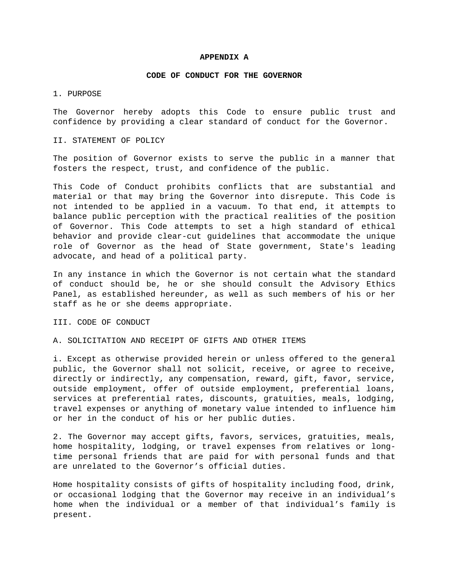### **APPENDIX A**

#### **CODE OF CONDUCT FOR THE GOVERNOR**

# 1. PURPOSE

The Governor hereby adopts this Code to ensure public trust and confidence by providing a clear standard of conduct for the Governor.

### II. STATEMENT OF POLICY

The position of Governor exists to serve the public in a manner that fosters the respect, trust, and confidence of the public.

This Code of Conduct prohibits conflicts that are substantial and material or that may bring the Governor into disrepute. This Code is not intended to be applied in a vacuum. To that end, it attempts to balance public perception with the practical realities of the position of Governor. This Code attempts to set a high standard of ethical behavior and provide clear-cut guidelines that accommodate the unique role of Governor as the head of State government, State's leading advocate, and head of a political party.

In any instance in which the Governor is not certain what the standard of conduct should be, he or she should consult the Advisory Ethics Panel, as established hereunder, as well as such members of his or her staff as he or she deems appropriate.

# III. CODE OF CONDUCT

# A. SOLICITATION AND RECEIPT OF GIFTS AND OTHER ITEMS

i. Except as otherwise provided herein or unless offered to the general public, the Governor shall not solicit, receive, or agree to receive, directly or indirectly, any compensation, reward, gift, favor, service, outside employment, offer of outside employment, preferential loans, services at preferential rates, discounts, gratuities, meals, lodging, travel expenses or anything of monetary value intended to influence him or her in the conduct of his or her public duties.

2. The Governor may accept gifts, favors, services, gratuities, meals, home hospitality, lodging, or travel expenses from relatives or longtime personal friends that are paid for with personal funds and that are unrelated to the Governor's official duties.

Home hospitality consists of gifts of hospitality including food, drink, or occasional lodging that the Governor may receive in an individual's home when the individual or a member of that individual's family is present.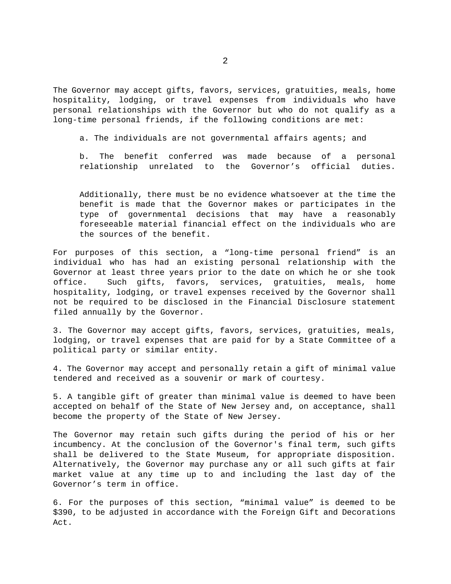The Governor may accept gifts, favors, services, gratuities, meals, home hospitality, lodging, or travel expenses from individuals who have personal relationships with the Governor but who do not qualify as a long-time personal friends, if the following conditions are met:

a. The individuals are not governmental affairs agents; and

b. The benefit conferred was made because of a personal relationship unrelated to the Governor's official duties.

Additionally, there must be no evidence whatsoever at the time the benefit is made that the Governor makes or participates in the type of governmental decisions that may have a reasonably foreseeable material financial effect on the individuals who are the sources of the benefit.

For purposes of this section, a "long-time personal friend" is an individual who has had an existing personal relationship with the Governor at least three years prior to the date on which he or she took office. Such gifts, favors, services, gratuities, meals, home hospitality, lodging, or travel expenses received by the Governor shall not be required to be disclosed in the Financial Disclosure statement filed annually by the Governor.

3. The Governor may accept gifts, favors, services, gratuities, meals, lodging, or travel expenses that are paid for by a State Committee of a political party or similar entity.

4. The Governor may accept and personally retain a gift of minimal value tendered and received as a souvenir or mark of courtesy.

5. A tangible gift of greater than minimal value is deemed to have been accepted on behalf of the State of New Jersey and, on acceptance, shall become the property of the State of New Jersey.

The Governor may retain such gifts during the period of his or her incumbency. At the conclusion of the Governor's final term, such gifts shall be delivered to the State Museum, for appropriate disposition. Alternatively, the Governor may purchase any or all such gifts at fair market value at any time up to and including the last day of the Governor's term in office.

6. For the purposes of this section, "minimal value" is deemed to be \$390, to be adjusted in accordance with the Foreign Gift and Decorations Act.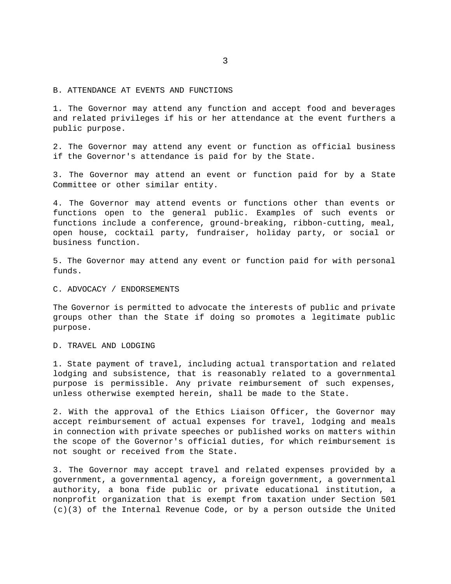B. ATTENDANCE AT EVENTS AND FUNCTIONS

1. The Governor may attend any function and accept food and beverages and related privileges if his or her attendance at the event furthers a public purpose.

2. The Governor may attend any event or function as official business if the Governor's attendance is paid for by the State.

3. The Governor may attend an event or function paid for by a State Committee or other similar entity.

4. The Governor may attend events or functions other than events or functions open to the general public. Examples of such events or functions include a conference, ground-breaking, ribbon-cutting, meal, open house, cocktail party, fundraiser, holiday party, or social or business function.

5. The Governor may attend any event or function paid for with personal funds.

C. ADVOCACY / ENDORSEMENTS

The Governor is permitted to advocate the interests of public and private groups other than the State if doing so promotes a legitimate public purpose.

D. TRAVEL AND LODGING

1. State payment of travel, including actual transportation and related lodging and subsistence, that is reasonably related to a governmental purpose is permissible. Any private reimbursement of such expenses, unless otherwise exempted herein, shall be made to the State.

2. With the approval of the Ethics Liaison Officer, the Governor may accept reimbursement of actual expenses for travel, lodging and meals in connection with private speeches or published works on matters within the scope of the Governor's official duties, for which reimbursement is not sought or received from the State.

3. The Governor may accept travel and related expenses provided by a government, a governmental agency, a foreign government, a governmental authority, a bona fide public or private educational institution, a nonprofit organization that is exempt from taxation under Section 501 (c)(3) of the Internal Revenue Code, or by a person outside the United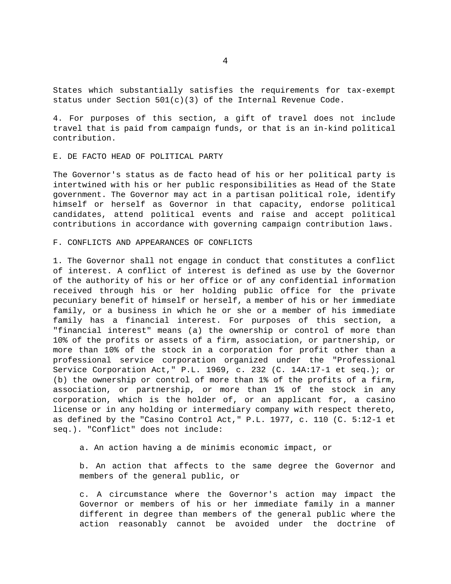States which substantially satisfies the requirements for tax-exempt status under Section  $501(c)(3)$  of the Internal Revenue Code.

4. For purposes of this section, a gift of travel does not include travel that is paid from campaign funds, or that is an in-kind political contribution.

# E. DE FACTO HEAD OF POLITICAL PARTY

The Governor's status as de facto head of his or her political party is intertwined with his or her public responsibilities as Head of the State government. The Governor may act in a partisan political role, identify himself or herself as Governor in that capacity, endorse political candidates, attend political events and raise and accept political contributions in accordance with governing campaign contribution laws.

F. CONFLICTS AND APPEARANCES OF CONFLICTS

1. The Governor shall not engage in conduct that constitutes a conflict of interest. A conflict of interest is defined as use by the Governor of the authority of his or her office or of any confidential information received through his or her holding public office for the private pecuniary benefit of himself or herself, a member of his or her immediate family, or a business in which he or she or a member of his immediate family has a financial interest. For purposes of this section, a "financial interest" means (a) the ownership or control of more than 10% of the profits or assets of a firm, association, or partnership, or more than 10% of the stock in a corporation for profit other than a professional service corporation organized under the "Professional Service Corporation Act," P.L. 1969, c. 232 (C. 14A:17-1 et seq.); or (b) the ownership or control of more than 1% of the profits of a firm, association, or partnership, or more than 1% of the stock in any corporation, which is the holder of, or an applicant for, a casino license or in any holding or intermediary company with respect thereto, as defined by the "Casino Control Act," P.L. 1977, c. 110 (C. 5:12-1 et seq.). "Conflict" does not include:

a. An action having a de minimis economic impact, or

b. An action that affects to the same degree the Governor and members of the general public, or

c. A circumstance where the Governor's action may impact the Governor or members of his or her immediate family in a manner different in degree than members of the general public where the action reasonably cannot be avoided under the doctrine of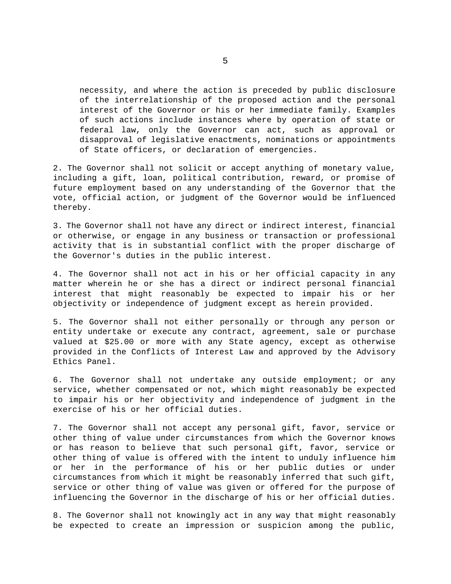necessity, and where the action is preceded by public disclosure of the interrelationship of the proposed action and the personal interest of the Governor or his or her immediate family. Examples of such actions include instances where by operation of state or federal law, only the Governor can act, such as approval or disapproval of legislative enactments, nominations or appointments of State officers, or declaration of emergencies.

2. The Governor shall not solicit or accept anything of monetary value, including a gift, loan, political contribution, reward, or promise of future employment based on any understanding of the Governor that the vote, official action, or judgment of the Governor would be influenced thereby.

3. The Governor shall not have any direct or indirect interest, financial or otherwise, or engage in any business or transaction or professional activity that is in substantial conflict with the proper discharge of the Governor's duties in the public interest.

4. The Governor shall not act in his or her official capacity in any matter wherein he or she has a direct or indirect personal financial interest that might reasonably be expected to impair his or her objectivity or independence of judgment except as herein provided.

5. The Governor shall not either personally or through any person or entity undertake or execute any contract, agreement, sale or purchase valued at \$25.00 or more with any State agency, except as otherwise provided in the Conflicts of Interest Law and approved by the Advisory Ethics Panel.

6. The Governor shall not undertake any outside employment; or any service, whether compensated or not, which might reasonably be expected to impair his or her objectivity and independence of judgment in the exercise of his or her official duties.

7. The Governor shall not accept any personal gift, favor, service or other thing of value under circumstances from which the Governor knows or has reason to believe that such personal gift, favor, service or other thing of value is offered with the intent to unduly influence him or her in the performance of his or her public duties or under circumstances from which it might be reasonably inferred that such gift, service or other thing of value was given or offered for the purpose of influencing the Governor in the discharge of his or her official duties.

8. The Governor shall not knowingly act in any way that might reasonably be expected to create an impression or suspicion among the public,